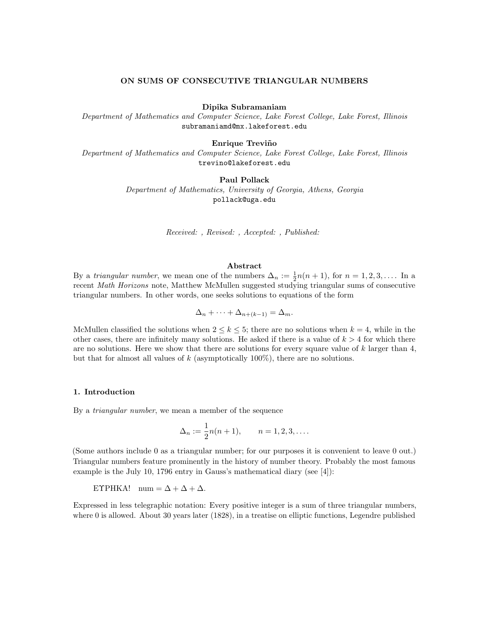#### ON SUMS OF CONSECUTIVE TRIANGULAR NUMBERS

Dipika Subramaniam

Department of Mathematics and Computer Science, Lake Forest College, Lake Forest, Illinois subramaniamd@mx.lakeforest.edu

## Enrique Treviño

Department of Mathematics and Computer Science, Lake Forest College, Lake Forest, Illinois trevino@lakeforest.edu

# Paul Pollack

Department of Mathematics, University of Georgia, Athens, Georgia pollack@uga.edu

Received: , Revised: , Accepted: , Published:

## Abstract

By a *triangular number*, we mean one of the numbers  $\Delta_n := \frac{1}{2}n(n+1)$ , for  $n = 1, 2, 3, \ldots$ . In a recent Math Horizons note, Matthew McMullen suggested studying triangular sums of consecutive triangular numbers. In other words, one seeks solutions to equations of the form

 $\Delta_n + \cdots + \Delta_{n+(k-1)} = \Delta_m.$ 

McMullen classified the solutions when  $2 \le k \le 5$ ; there are no solutions when  $k = 4$ , while in the other cases, there are infinitely many solutions. He asked if there is a value of  $k > 4$  for which there are no solutions. Here we show that there are solutions for every square value of  $k$  larger than 4, but that for almost all values of  $k$  (asymptotically 100%), there are no solutions.

#### 1. Introduction

By a *triangular number*, we mean a member of the sequence

$$
\Delta_n := \frac{1}{2}n(n+1),
$$
  $n = 1, 2, 3, ....$ 

(Some authors include 0 as a triangular number; for our purposes it is convenient to leave 0 out.) Triangular numbers feature prominently in the history of number theory. Probably the most famous example is the July 10, 1796 entry in Gauss's mathematical diary (see [4]):

EΥΡΗΚΑ! num =  $\Delta + \Delta + \Delta$ .

Expressed in less telegraphic notation: Every positive integer is a sum of three triangular numbers, where 0 is allowed. About 30 years later (1828), in a treatise on elliptic functions, Legendre published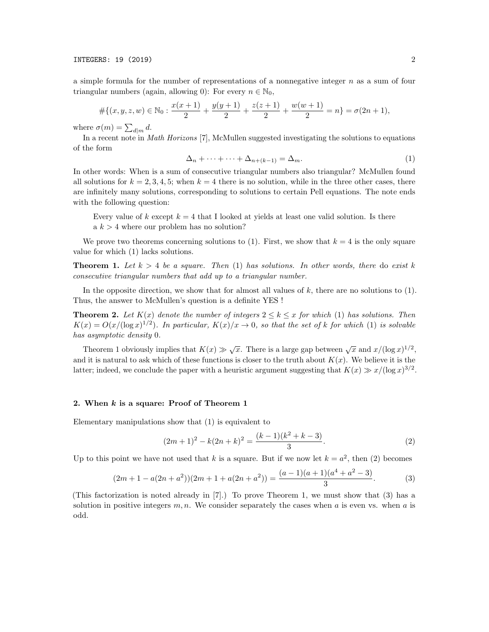a simple formula for the number of representations of a nonnegative integer  $n$  as a sum of four triangular numbers (again, allowing 0): For every  $n \in \mathbb{N}_0$ ,

$$
#\{(x,y,z,w)\in\mathbb{N}_0:\frac{x(x+1)}{2}+\frac{y(y+1)}{2}+\frac{z(z+1)}{2}+\frac{w(w+1)}{2}=n\}=\sigma(2n+1),
$$

where  $\sigma(m) = \sum_{d|m} d$ .

In a recent note in Math Horizons [7], McMullen suggested investigating the solutions to equations of the form

$$
\Delta_n + \dots + \dots + \Delta_{n+(k-1)} = \Delta_m. \tag{1}
$$

In other words: When is a sum of consecutive triangular numbers also triangular? McMullen found all solutions for  $k = 2, 3, 4, 5$ ; when  $k = 4$  there is no solution, while in the three other cases, there are infinitely many solutions, corresponding to solutions to certain Pell equations. The note ends with the following question:

Every value of k except  $k = 4$  that I looked at yields at least one valid solution. Is there a  $k > 4$  where our problem has no solution?

We prove two theorems concerning solutions to (1). First, we show that  $k = 4$  is the only square value for which (1) lacks solutions.

**Theorem 1.** Let  $k > 4$  be a square. Then (1) has solutions. In other words, there do exist k consecutive triangular numbers that add up to a triangular number.

In the opposite direction, we show that for almost all values of  $k$ , there are no solutions to  $(1)$ . Thus, the answer to McMullen's question is a definite YES !

**Theorem 2.** Let  $K(x)$  denote the number of integers  $2 \leq k \leq x$  for which (1) has solutions. Then  $K(x) = O(x/(\log x)^{1/2})$ . In particular,  $K(x)/x \to 0$ , so that the set of k for which (1) is solvable has asymptotic density 0.

Theorem 1 obviously implies that  $K(x) \gg \sqrt{x}$ . There is a large gap between  $\sqrt{x}$  and  $x/(\log x)^{1/2}$ , and it is natural to ask which of these functions is closer to the truth about  $K(x)$ . We believe it is the latter; indeed, we conclude the paper with a heuristic argument suggesting that  $K(x) \gg x/(\log x)^{3/2}$ .

#### 2. When  $k$  is a square: Proof of Theorem 1

Elementary manipulations show that (1) is equivalent to

$$
(2m+1)^2 - k(2n+k)^2 = \frac{(k-1)(k^2+k-3)}{3}.
$$
 (2)

Up to this point we have not used that k is a square. But if we now let  $k = a^2$ , then (2) becomes

$$
(2m+1-a(2n+a^2))(2m+1+a(2n+a^2)) = \frac{(a-1)(a+1)(a^4+a^2-3)}{3}.
$$
 (3)

(This factorization is noted already in [7].) To prove Theorem 1, we must show that (3) has a solution in positive integers  $m, n$ . We consider separately the cases when a is even vs. when a is odd.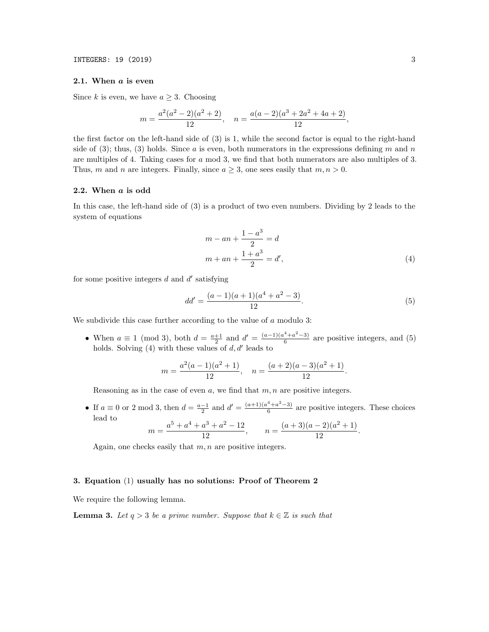#### 2.1. When a is even

Since k is even, we have  $a \geq 3$ . Choosing

$$
m = \frac{a^2(a^2 - 2)(a^2 + 2)}{12}, \quad n = \frac{a(a - 2)(a^3 + 2a^2 + 4a + 2)}{12},
$$

the first factor on the left-hand side of (3) is 1, while the second factor is equal to the right-hand side of (3); thus, (3) holds. Since a is even, both numerators in the expressions defining m and n are multiples of 4. Taking cases for a mod 3, we find that both numerators are also multiples of 3. Thus, m and n are integers. Finally, since  $a \geq 3$ , one sees easily that  $m, n > 0$ .

#### 2.2. When a is odd

In this case, the left-hand side of (3) is a product of two even numbers. Dividing by 2 leads to the system of equations

$$
m - an + \frac{1 - a^{3}}{2} = d
$$
  

$$
m + an + \frac{1 + a^{3}}{2} = d',
$$
 (4)

for some positive integers  $d$  and  $d'$  satisfying

$$
dd' = \frac{(a-1)(a+1)(a^4 + a^2 - 3)}{12}.
$$
\n(5)

We subdivide this case further according to the value of  $a$  modulo 3:

• When  $a \equiv 1 \pmod{3}$ , both  $d = \frac{a+1}{2}$  and  $d' = \frac{(a-1)(a^4 + a^2 - 3)}{6}$  $\frac{(-4a^2-3)}{6}$  are positive integers, and (5) holds. Solving  $(4)$  with these values of  $d, d'$  leads to

$$
m = \frac{a^2(a-1)(a^2+1)}{12}, \quad n = \frac{(a+2)(a-3)(a^2+1)}{12}.
$$

Reasoning as in the case of even  $a$ , we find that  $m, n$  are positive integers.

• If  $a \equiv 0$  or 2 mod 3, then  $d = \frac{a-1}{2}$  and  $d' = \frac{(a+1)(a^4 + a^2 - 3)}{6}$  $\frac{+a}{6}$  are positive integers. These choices lead to  $m = \frac{a^5 + a^4 + a^3 + a^2 - 12}{12}$  $\frac{a^3 + a^2 - 12}{12}$ ,  $n = \frac{(a+3)(a-2)(a^2+1)}{12}$  $\frac{2(x+1)}{12}$ .

Again, one checks easily that  $m, n$  are positive integers.

#### 3. Equation (1) usually has no solutions: Proof of Theorem 2

We require the following lemma.

**Lemma 3.** Let  $q > 3$  be a prime number. Suppose that  $k \in \mathbb{Z}$  is such that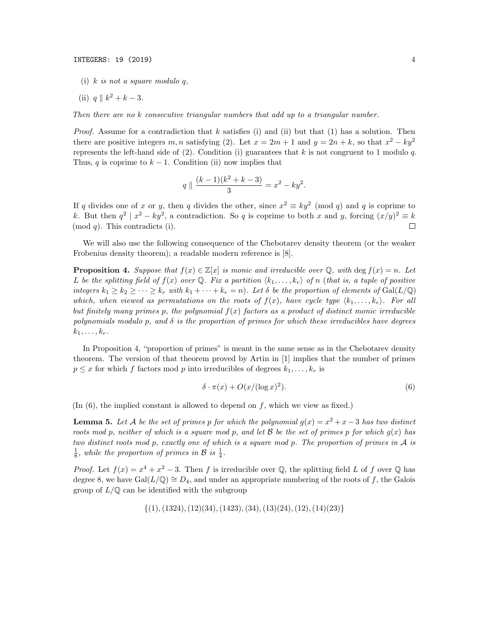- (i)  $k$  is not a square modulo  $q$ ,
- (ii)  $q \parallel k^2 + k 3$ .

Then there are no k consecutive triangular numbers that add up to a triangular number.

*Proof.* Assume for a contradiction that k satisfies (i) and (ii) but that (1) has a solution. Then there are positive integers m, n satisfying (2). Let  $x = 2m + 1$  and  $y = 2n + k$ , so that  $x^2 - ky^2$ represents the left-hand side of  $(2)$ . Condition  $(i)$  guarantees that k is not congruent to 1 modulo q. Thus, q is coprime to  $k - 1$ . Condition (ii) now implies that

$$
q \parallel \frac{(k-1)(k^2 + k - 3)}{3} = x^2 - ky^2
$$

If q divides one of x or y, then q divides the other, since  $x^2 \equiv ky^2 \pmod{q}$  and q is coprime to k. But then  $q^2 | x^2 - ky^2$ , a contradiction. So q is coprime to both x and y, forcing  $(x/y)^2 \equiv k$  $(mod q)$ . This contradicts (i).  $\Box$ 

We will also use the following consequence of the Chebotarev density theorem (or the weaker Frobenius density theorem); a readable modern reference is [8].

**Proposition 4.** Suppose that  $f(x) \in \mathbb{Z}[x]$  is monic and irreducible over Q, with  $\deg f(x) = n$ . Let L be the splitting field of  $f(x)$  over Q. Fix a partition  $\langle k_1, \ldots, k_r \rangle$  of n (that is, a tuple of positive integers  $k_1 \geq k_2 \geq \cdots \geq k_r$  with  $k_1 + \cdots + k_r = n$ . Let  $\delta$  be the proportion of elements of Gal(L/Q) which, when viewed as permutations on the roots of  $f(x)$ , have cycle type  $\langle k_1, \ldots, k_r \rangle$ . For all but finitely many primes p, the polynomial  $f(x)$  factors as a product of distinct monic irreducible polynomials modulo p, and  $\delta$  is the proportion of primes for which these irreducibles have degrees  $k_1, \ldots, k_r$ .

In Proposition 4, "proportion of primes" is meant in the same sense as in the Chebotarev density theorem. The version of that theorem proved by Artin in [1] implies that the number of primes  $p \leq x$  for which f factors mod p into irreducibles of degrees  $k_1, \ldots, k_r$  is

$$
\delta \cdot \pi(x) + O(x/(\log x)^2). \tag{6}
$$

.

(In  $(6)$ , the implied constant is allowed to depend on f, which we view as fixed.)

**Lemma 5.** Let A be the set of primes p for which the polynomial  $g(x) = x^2 + x - 3$  has two distinct roots mod p, neither of which is a square mod p, and let  $\beta$  be the set of primes p for which  $g(x)$  has two distinct roots mod p, exactly one of which is a square mod p. The proportion of primes in A is  $\frac{1}{8}$ , while the proportion of primes in  $\mathcal{B}$  is  $\frac{1}{4}$ .

*Proof.* Let  $f(x) = x^4 + x^2 - 3$ . Then f is irreducible over Q, the splitting field L of f over Q has degree 8, we have  $Gal(L/\mathbb{Q}) \cong D_4$ , and under an appropriate numbering of the roots of f, the Galois group of  $L/\mathbb{Q}$  can be identified with the subgroup

 $\{(1), (1324), (12)(34), (1423), (34), (13)(24), (12), (14)(23)\}$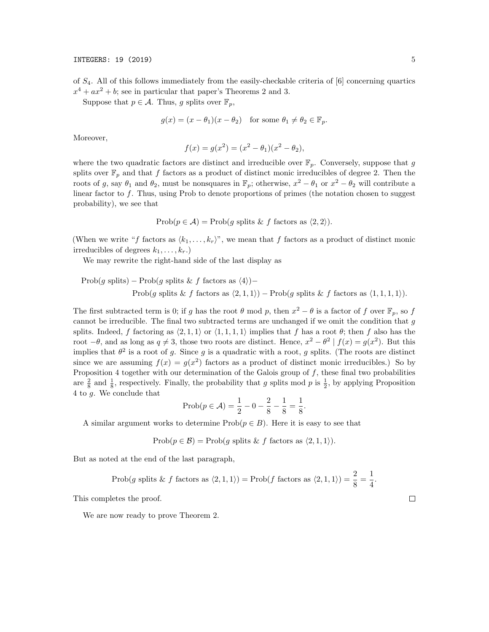of  $S_4$ . All of this follows immediately from the easily-checkable criteria of [6] concerning quartics  $x^4 + ax^2 + b$ ; see in particular that paper's Theorems 2 and 3.

Suppose that  $p \in \mathcal{A}$ . Thus, g splits over  $\mathbb{F}_p$ ,

$$
g(x) = (x - \theta_1)(x - \theta_2)
$$
 for some  $\theta_1 \neq \theta_2 \in \mathbb{F}_p$ .

Moreover,

$$
f(x) = g(x^{2}) = (x^{2} - \theta_{1})(x^{2} - \theta_{2}),
$$

where the two quadratic factors are distinct and irreducible over  $\mathbb{F}_p$ . Conversely, suppose that g splits over  $\mathbb{F}_p$  and that f factors as a product of distinct monic irreducibles of degree 2. Then the roots of g, say  $\theta_1$  and  $\theta_2$ , must be nonsquares in  $\mathbb{F}_p$ ; otherwise,  $x^2 - \theta_1$  or  $x^2 - \theta_2$  will contribute a linear factor to  $f$ . Thus, using Prob to denote proportions of primes (the notation chosen to suggest probability), we see that

$$
Prob(p \in \mathcal{A}) = Prob(g \text{ splits } \& f \text{ factors as } \langle 2, 2 \rangle).
$$

(When we write "f factors as  $\langle k_1, \ldots, k_r \rangle$ ", we mean that f factors as a product of distinct monic irreducibles of degrees  $k_1, \ldots, k_r$ .)

We may rewrite the right-hand side of the last display as

$$
Prob(g \text{ splits}) - Prob(g \text{ splits} \& f \text{ factors as } \langle 4 \rangle) -
$$

$$
Prob(g \text{ splits} \& f \text{ factors as } \langle 2, 1, 1 \rangle) - Prob(g \text{ splits} \& f \text{ factors as } \langle 1, 1, 1, 1 \rangle).
$$

The first subtracted term is 0; if g has the root  $\theta$  mod p, then  $x^2 - \theta$  is a factor of f over  $\mathbb{F}_p$ , so f cannot be irreducible. The final two subtracted terms are unchanged if we omit the condition that  $q$ splits. Indeed, f factoring as  $\langle 2, 1, 1 \rangle$  or  $\langle 1, 1, 1, 1 \rangle$  implies that f has a root  $\theta$ ; then f also has the root  $-\theta$ , and as long as  $q \neq 3$ , those two roots are distinct. Hence,  $x^2 - \theta^2 | f(x) = g(x^2)$ . But this implies that  $\theta^2$  is a root of g. Since g is a quadratic with a root, g splits. (The roots are distinct since we are assuming  $f(x) = g(x^2)$  factors as a product of distinct monic irreducibles.) So by Proposition 4 together with our determination of the Galois group of f, these final two probabilities are  $\frac{2}{8}$  and  $\frac{1}{8}$ , respectively. Finally, the probability that g splits mod p is  $\frac{1}{2}$ , by applying Proposition 4 to g. We conclude that

$$
\text{Prob}(p \in \mathcal{A}) = \frac{1}{2} - 0 - \frac{2}{8} - \frac{1}{8} = \frac{1}{8}.
$$

A similar argument works to determine  $\text{Prob}(p \in B)$ . Here it is easy to see that

 $Prob(p \in \mathcal{B}) = Prob(q \text{ splits } \& f \text{ factors as } \langle 2, 1, 1 \rangle).$ 

But as noted at the end of the last paragraph,

Prob(g splits & f factors as 
$$
\langle 2, 1, 1 \rangle
$$
) = Prob(f factors as  $\langle 2, 1, 1 \rangle$ ) =  $\frac{2}{8} = \frac{1}{4}$ .

This completes the proof.

We are now ready to prove Theorem 2.

 $\Box$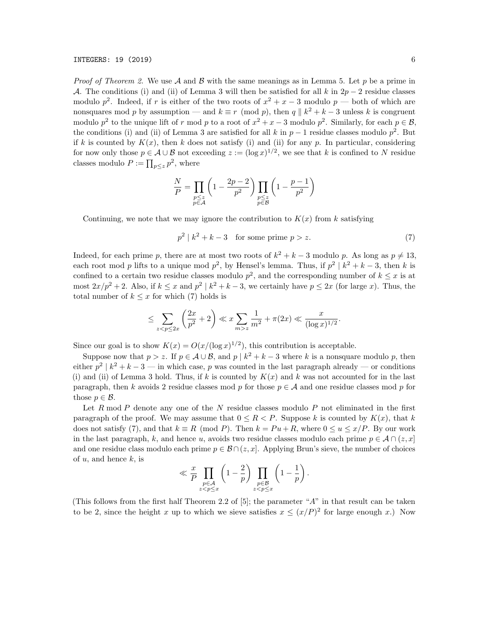#### INTEGERS: 19 (2019) 6

*Proof of Theorem 2.* We use A and B with the same meanings as in Lemma 5. Let p be a prime in A. The conditions (i) and (ii) of Lemma 3 will then be satisfied for all k in  $2p-2$  residue classes modulo  $p^2$ . Indeed, if r is either of the two roots of  $x^2 + x - 3$  modulo  $p$  — both of which are nonsquares mod p by assumption — and  $k \equiv r \pmod{p}$ , then  $q \parallel k^2 + k - 3$  unless k is congruent modulo  $p^2$  to the unique lift of r mod p to a root of  $x^2 + x - 3$  modulo  $p^2$ . Similarly, for each  $p \in \mathcal{B}$ , the conditions (i) and (ii) of Lemma 3 are satisfied for all k in  $p-1$  residue classes modulo  $p^2$ . But if k is counted by  $K(x)$ , then k does not satisfy (i) and (ii) for any p. In particular, considering for now only those  $p \in A \cup B$  not exceeding  $z := (\log x)^{1/2}$ , we see that k is confined to N residue classes modulo  $P := \prod_{p \leq z} p^2$ , where

$$
\frac{N}{P} = \prod_{\substack{p \le z \\ p \in \mathcal{A}}} \left(1 - \frac{2p - 2}{p^2}\right) \prod_{\substack{p \le z \\ p \in \mathcal{B}}} \left(1 - \frac{p - 1}{p^2}\right)
$$

Continuing, we note that we may ignore the contribution to  $K(x)$  from k satisfying

$$
p^2 \mid k^2 + k - 3 \quad \text{for some prime } p > z. \tag{7}
$$

Indeed, for each prime p, there are at most two roots of  $k^2 + k - 3$  modulo p. As long as  $p \neq 13$ , each root mod p lifts to a unique mod  $p^2$ , by Hensel's lemma. Thus, if  $p^2 \mid k^2 + k - 3$ , then k is confined to a certain two residue classes modulo  $p^2$ , and the corresponding number of  $k \leq x$  is at most  $2x/p^2 + 2$ . Also, if  $k \leq x$  and  $p^2 | k^2 + k - 3$ , we certainly have  $p \leq 2x$  (for large x). Thus, the total number of  $k \leq x$  for which (7) holds is

$$
\leq \sum_{z < p \leq 2x} \left( \frac{2x}{p^2} + 2 \right) \ll x \sum_{m > z} \frac{1}{m^2} + \pi(2x) \ll \frac{x}{(\log x)^{1/2}}.
$$

Since our goal is to show  $K(x) = O(x/(\log x)^{1/2})$ , this contribution is acceptable.

Suppose now that  $p > z$ . If  $p \in A \cup B$ , and  $p \mid k^2 + k - 3$  where k is a nonsquare modulo p, then either  $p^2 | k^2 + k - 3$  — in which case, p was counted in the last paragraph already — or conditions (i) and (ii) of Lemma 3 hold. Thus, if k is counted by  $K(x)$  and k was not accounted for in the last paragraph, then k avoids 2 residue classes mod p for those  $p \in A$  and one residue classes mod p for those  $p \in \mathcal{B}$ .

Let  $R \mod P$  denote any one of the  $N$  residue classes modulo  $P$  not eliminated in the first paragraph of the proof. We may assume that  $0 \leq R < P$ . Suppose k is counted by  $K(x)$ , that k does not satisfy (7), and that  $k \equiv R \pmod{P}$ . Then  $k = Pu + R$ , where  $0 \le u \le x/P$ . By our work in the last paragraph, k, and hence u, avoids two residue classes modulo each prime  $p \in \mathcal{A} \cap (z, x]$ and one residue class modulo each prime  $p \in \mathcal{B} \cap (z, x]$ . Applying Brun's sieve, the number of choices of  $u$ , and hence  $k$ , is

$$
\ll \frac{x}{P} \prod_{\substack{p \in \mathcal{A} \\ z < p \le x}} \left(1 - \frac{2}{p}\right) \prod_{\substack{p \in \mathcal{B} \\ z < p \le x}} \left(1 - \frac{1}{p}\right).
$$

(This follows from the first half Theorem 2.2 of  $[5]$ ; the parameter "A" in that result can be taken to be 2, since the height x up to which we sieve satisfies  $x \leq (x/P)^2$  for large enough x.) Now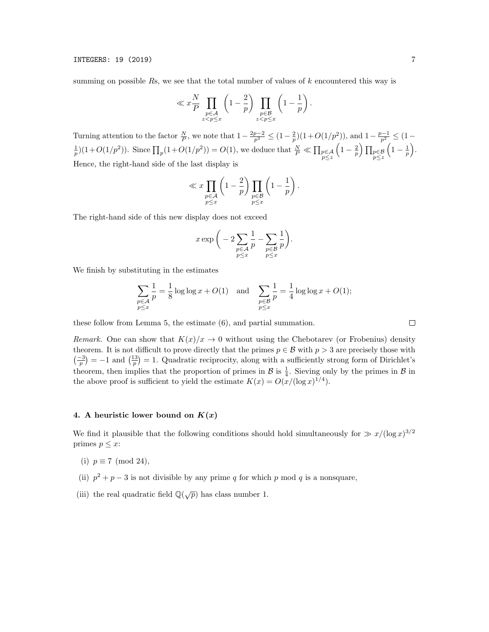summing on possible  $Rs$ , we see that the total number of values of  $k$  encountered this way is

$$
\ll x \frac{N}{P} \prod_{\substack{p \in \mathcal{A} \\ z < p \leq x}} \left(1 - \frac{2}{p}\right) \prod_{\substack{p \in \mathcal{B} \\ z < p \leq x}} \left(1 - \frac{1}{p}\right).
$$

Turning attention to the factor  $\frac{N}{P}$ , we note that  $1-\frac{2p-2}{p^2} \leq (1-\frac{2}{p})(1+O(1/p^2))$ , and  $1-\frac{p-1}{p^2} \leq (1-\frac{2}{p})$  $\frac{1}{p}(1+O(1/p^2))$ . Since  $\prod_p(1+O(1/p^2))=O(1)$ , we deduce that  $\frac{N}{P} \ll \prod_{\substack{p \in A \\ p \leq z}}$  $\left(1-\frac{2}{p}\right)\prod_{\substack{p\in\mathcal{B}\\p\leq z}}$  $\left(1-\frac{1}{p}\right).$ Hence, the right-hand side of the last display is

$$
\ll x \prod_{\substack{p \in \mathcal{A} \\ p \leq x}} \left(1 - \frac{2}{p}\right) \prod_{\substack{p \in \mathcal{B} \\ p \leq x}} \left(1 - \frac{1}{p}\right).
$$

The right-hand side of this new display does not exceed

$$
x \exp\bigg(-2\sum_{\substack{p\in\mathcal{A}\\p\leq x}}\frac{1}{p}-\sum_{\substack{p\in\mathcal{B}\\p\leq x}}\frac{1}{p}\bigg).
$$

We finish by substituting in the estimates

$$
\sum_{\substack{p \in \mathcal{A} \\ p \le x}} \frac{1}{p} = \frac{1}{8} \log \log x + O(1) \quad \text{and} \quad \sum_{\substack{p \in \mathcal{B} \\ p \le x}} \frac{1}{p} = \frac{1}{4} \log \log x + O(1);
$$

these follow from Lemma 5, the estimate (6), and partial summation.

Remark. One can show that  $K(x)/x \to 0$  without using the Chebotarev (or Frobenius) density theorem. It is not difficult to prove directly that the primes  $p \in \mathcal{B}$  with  $p > 3$  are precisely those with  $\left(\frac{-3}{p}\right) = -1$  and  $\left(\frac{13}{p}\right) = 1$ . Quadratic reciprocity, along with a sufficiently strong form of Dirichlet's theorem, then implies that the proportion of primes in  $\mathcal{B}$  is  $\frac{1}{4}$ . Sieving only by the primes in  $\mathcal{B}$  in the above proof is sufficient to yield the estimate  $K(x) = O(x/(\log x)^{1/4})$ .

### 4. A heuristic lower bound on  $K(x)$

We find it plausible that the following conditions should hold simultaneously for  $\gg x/(\log x)^{3/2}$ primes  $p \leq x$ :

- (i)  $p \equiv 7 \pmod{24}$ ,
- (ii)  $p^2 + p 3$  is not divisible by any prime q for which p mod q is a nonsquare,
- (iii) the real quadratic field  $\mathbb{Q}(\sqrt{p})$  has class number 1.

 $\Box$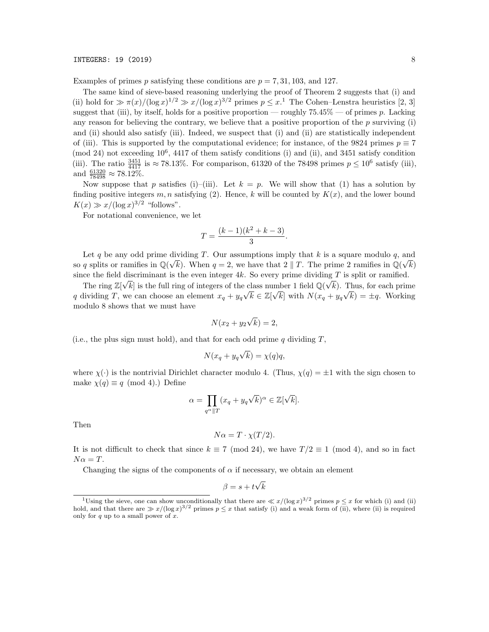INTEGERS: 19 (2019) 8

Examples of primes p satisfying these conditions are  $p = 7, 31, 103,$  and 127.

The same kind of sieve-based reasoning underlying the proof of Theorem 2 suggests that (i) and (ii) hold for  $\gg \pi(x)/(\log x)^{1/2} \gg x/(\log x)^{3/2}$  primes  $p \leq x$ .<sup>1</sup> The Cohen–Lenstra heuristics [2, 3] suggest that (iii), by itself, holds for a positive proportion — roughly  $75.45\%$  — of primes p. Lacking any reason for believing the contrary, we believe that a positive proportion of the  $p$  surviving (i) and (ii) should also satisfy (iii). Indeed, we suspect that (i) and (ii) are statistically independent of (iii). This is supported by the computational evidence; for instance, of the 9824 primes  $p \equiv 7$  $\pmod{24}$  not exceeding  $10^6$ , 4417 of them satisfy conditions (i) and (ii), and 3451 satisfy condition (iii). The ratio  $\frac{3451}{4417}$  is  $\approx 78.13\%$ . For comparison, 61320 of the 78498 primes  $p \leq 10^6$  satisfy (iii), and  $\frac{61320}{78498} \approx 78.12\%.$ 

Now suppose that p satisfies (i)–(iii). Let  $k = p$ . We will show that (1) has a solution by finding positive integers  $m, n$  satisfying (2). Hence, k will be counted by  $K(x)$ , and the lower bound  $K(x) \gg x/(\log x)^{3/2}$  "follows".

For notational convenience, we let

$$
T = \frac{(k-1)(k^2 + k - 3)}{3}.
$$

Let q be any odd prime dividing T. Our assumptions imply that k is a square modulo q, and so q splits or ramifies in  $\mathbb{Q}(\sqrt{k})$ . When  $q=2$ , we have that  $2 \parallel T$ . The prime 2 ramifies in  $\mathbb{Q}(\sqrt{k})$ since the field discriminant is the even integer 4k. So every prime dividing T is split or ramified.

The ring  $\mathbb{Z}[\sqrt{k}]$  is the full ring of integers of the class number 1 field  $\mathbb{Q}(\sqrt{k})$ . Thus, for each prime q dividing T, we can choose an element  $x_q + y_q \sqrt{k} \in \mathbb{Z}[\sqrt{k}]$  with  $N(x_q + y_q \sqrt{k}) = \pm q$ . Working modulo 8 shows that we must have

$$
N(x_2 + y_2\sqrt{k}) = 2,
$$

(i.e., the plus sign must hold), and that for each odd prime q dividing  $T$ ,

$$
N(x_q + y_q \sqrt{k}) = \chi(q)q,
$$

where  $\chi(\cdot)$  is the nontrivial Dirichlet character modulo 4. (Thus,  $\chi(q) = \pm 1$  with the sign chosen to make  $\chi(q) \equiv q \pmod{4}$ .) Define

$$
\alpha = \prod_{q^{\alpha} \| T} (x_q + y_q \sqrt{k})^{\alpha} \in \mathbb{Z}[\sqrt{k}].
$$

Then

$$
N\alpha = T \cdot \chi(T/2).
$$

It is not difficult to check that since  $k \equiv 7 \pmod{24}$ , we have  $T/2 \equiv 1 \pmod{4}$ , and so in fact  $N\alpha = T$ .

Changing the signs of the components of  $\alpha$  if necessary, we obtain an element

$$
\beta = s + t\sqrt{k}
$$

<sup>&</sup>lt;sup>1</sup>Using the sieve, one can show unconditionally that there are  $\ll x/(\log x)^{3/2}$  primes  $p \leq x$  for which (i) and (ii) hold, and that there are  $\gg x/(\log x)^{3/2}$  primes  $p \leq x$  that satisfy (i) and a weak form of (ii), where (ii) is required only for  $q$  up to a small power of  $x$ .